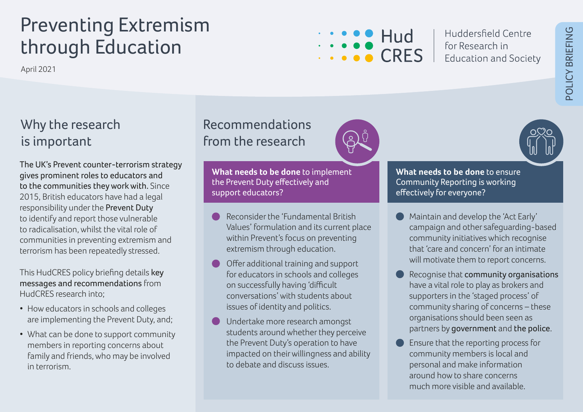# Preventing Extremism through Education

April 2021

# Allen Hud CRES

Huddersfield Centre for Research in **Education and Society** 

# Why the research is important

The UK's Prevent counter-terrorism strategy gives prominent roles to educators and to the communities they work with. Since 2015, British educators have had a legal responsibility under the Prevent Duty to identify and report those vulnerable to radicalisation, whilst the vital role of communities in preventing extremism and terrorism has been repeatedly stressed.

This HudCRES policy briefing details key messages and recommendations from HudCRES research into;

- How educators in schools and colleges are implementing the Prevent Duty, and;
- What can be done to support community members in reporting concerns about family and friends, who may be involved in terrorism.

## Recommendations from the research

**What needs to be done** to implement the Prevent Duty effectively and support educators?

- Reconsider the 'Fundamental British Values' formulation and its current place within Prevent's focus on preventing extremism through education.
- Offer additional training and support for educators in schools and colleges on successfully having 'difficult conversations' with students about issues of identity and politics.
- Undertake more research amongst students around whether they perceive the Prevent Duty's operation to have impacted on their willingness and ability to debate and discuss issues.



**What needs to be done** to ensure Community Reporting is working effectively for everyone?

- Maintain and develop the 'Act Early' campaign and other safeguarding-based community initiatives which recognise that 'care and concern' for an intimate will motivate them to report concerns.
- Recognise that community organisations have a vital role to play as brokers and supporters in the 'staged process' of community sharing of concerns – these organisations should been seen as partners by government and the police.
- Ensure that the reporting process for community members is local and personal and make information around how to share concerns much more visible and available.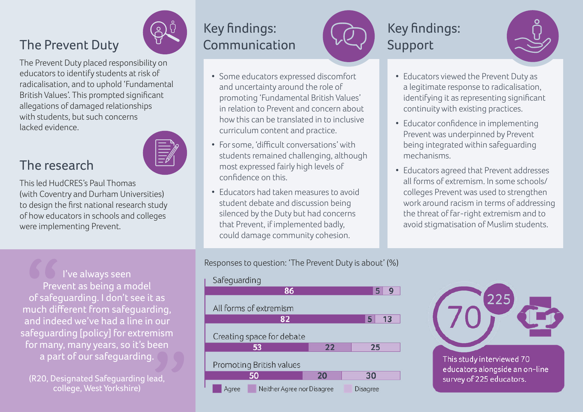#### The Prevent Duty

The Prevent Duty placed responsibility on educators to identify students at risk of radicalisation, and to uphold 'Fundamental British Values'. This prompted significant allegations of damaged relationships with students, but such concerns lacked evidence.

#### The research

This led HudCRES's Paul Thomas (with Coventry and Durham Universities) to design the first national research study of how educators in schools and colleges were implementing Prevent.

I've always seen Prevent as being a model of safeguarding. I don't see it as much different from safeguarding, and indeed we've had a line in our safeguarding [policy] for extremism for many, many years, so it's been a part of our safeguarding.

(R20, Designated Safeguarding lead, college, West Yorkshire)

# Key findings: Communication

- Some educators expressed discomfort and uncertainty around the role of promoting 'Fundamental British Values' in relation to Prevent and concern about how this can be translated in to inclusive curriculum content and practice.
- For some, 'difficult conversations' with students remained challenging, although most expressed fairly high levels of confidence on this.
- Educators had taken measures to avoid student debate and discussion being silenced by the Duty but had concerns that Prevent, if implemented badly, could damage community cohesion.

# Key findings: Support



- Educators viewed the Prevent Duty as a legitimate response to radicalisation, identifying it as representing significant continuity with existing practices.
- Educator confidence in implementing Prevent was underpinned by Prevent being integrated within safeguarding mechanisms.
- Educators agreed that Prevent addresses all forms of extremism. In some schools/ colleges Prevent was used to strengthen work around racism in terms of addressing the threat of far-right extremism and to avoid stigmatisation of Muslim students.

Responses to question: 'The Prevent Duty is about' (%)





educators alongside an on-line survey of 225 educators.

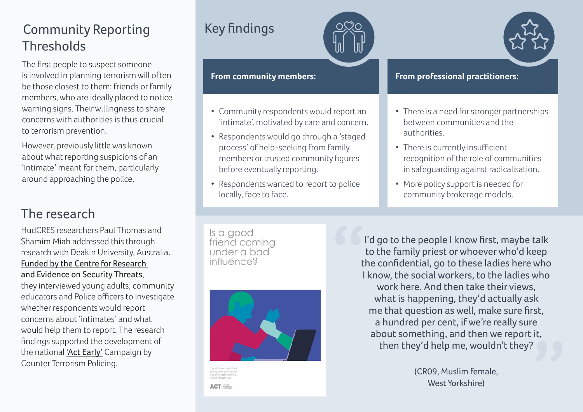# Community Reporting **Thresholds**

The first people to suspect someone is involved in planning terrorism will often be those closest to them: friends or family members, who are ideally placed to notice warning signs. Their willingness to share concerns with authorities is thus crucial to terrorism prevention.

However, previously little was known about what reporting suspicions of an 'intimate' meant for them, particularly around approaching the police.

#### The research

HudCRES researchers Paul Thomas and Shamim Miah addressed this through research with Deakin University, Australia. [Funded by the Centre for Research](https://crestresearch.ac.uk/)  [and Evidence on Security](https://crestresearch.ac.uk/) Threats,

they interviewed young adults, community educators and Police officers to investigate whether respondents would report concerns about 'intimates' and what would help them to report. The research findings supported the development of the national ['Act Early'](https://actearly.uk/) Campaign by Counter Terrorism Policing.

## Key findings





- Community respondents would report an 'intimate', motivated by care and concern.
- Respondents would go through a 'staged process' of help-seeking from family members or trusted community figures before eventually reporting.
- Respondents wanted to report to police locally, face to face.

#### **From professional practitioners:**

- There is a need for stronger partnerships between communities and the authorities.
- There is currently insufficient recognition of the role of communities in safeguarding against radicalisation.
- More policy support is needed for community brokerage models.

Is a good friend coming under a bad influence?



**ACT** 

I'd go to the people I know first, maybe talk to the family priest or whoever who'd keep the confidential, go to these ladies here who I know, the social workers, to the ladies who work here. And then take their views, what is happening, they'd actually ask me that question as well, make sure first, a hundred per cent, if we're really sure about something, and then we report it, then they'd help me, wouldn't they?

> (CR09, Muslim female, West Yorkshire)